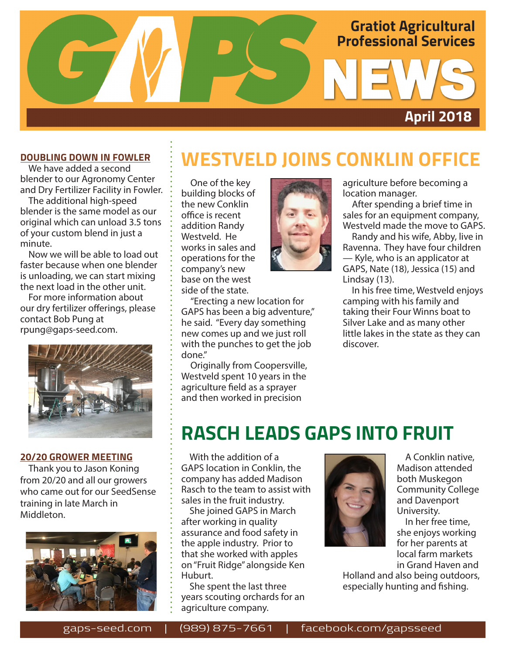

#### **DOUBLING DOWN IN FOWLER**

We have added a second blender to our Agronomy Center and Dry Fertilizer Facility in Fowler.

The additional high-speed blender is the same model as our original which can unload 3.5 tons of your custom blend in just a minute.

Now we will be able to load out faster because when one blender is unloading, we can start mixing the next load in the other unit.

For more information about our dry fertilizer offerings, please contact Bob Pung at rpung@gaps-seed.com.



#### **20/20 GROWER MEETING**

Thank you to Jason Koning from 20/20 and all our growers who came out for our SeedSense training in late March in Middleton.



### **WESTVELD JOINS CONKLIN OFFICE**

One of the key building blocks of the new Conklin office is recent addition Randy Westveld. He works in sales and operations for the company's new base on the west side of the state.

"Erecting a new location for GAPS has been a big adventure," he said. "Every day something new comes up and we just roll with the punches to get the job done."

Originally from Coopersville, Westveld spent 10 years in the agriculture field as a sprayer and then worked in precision



agriculture before becoming a location manager.

After spending a brief time in sales for an equipment company, Westveld made the move to GAPS.

Randy and his wife, Abby, live in Ravenna. They have four children — Kyle, who is an applicator at GAPS, Nate (18), Jessica (15) and Lindsay (13).

In his free time, Westveld enjoys camping with his family and taking their Four Winns boat to Silver Lake and as many other little lakes in the state as they can discover.

### **RASCH LEADS GAPS INTO FRUIT**

With the addition of a GAPS location in Conklin, the company has added Madison Rasch to the team to assist with sales in the fruit industry.

She joined GAPS in March after working in quality assurance and food safety in the apple industry. Prior to that she worked with apples on "Fruit Ridge" alongside Ken Huburt.

She spent the last three years scouting orchards for an agriculture company.



 A Conklin native, Madison attended both Muskegon Community College and Davenport University.

 In her free time, she enjoys working for her parents at local farm markets in Grand Haven and

Holland and also being outdoors, especially hunting and fishing.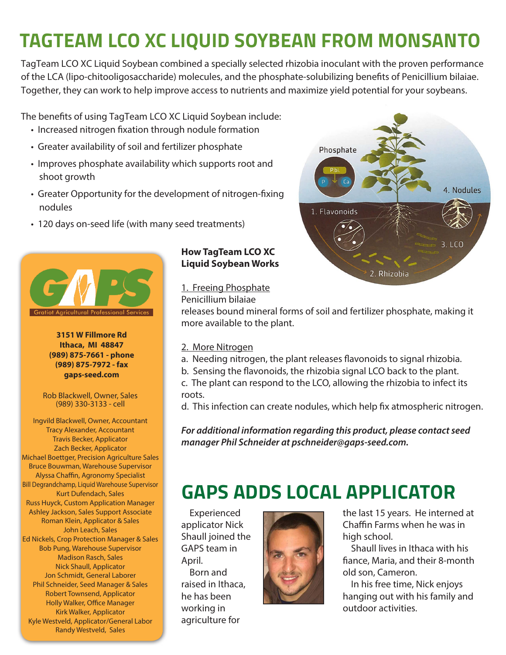# **TAGTEAM LCO XC LIQUID SOYBEAN FROM MONSANTO**

TagTeam LCO XC Liquid Soybean combined a specially selected rhizobia inoculant with the proven performance of the LCA (lipo-chitooligosaccharide) molecules, and the phosphate-solubilizing benefits of Penicillium bilaiae. Together, they can work to help improve access to nutrients and maximize yield potential for your soybeans.

The benefits of using TagTeam LCO XC Liquid Soybean include:

- Increased nitrogen fixation through nodule formation
- Greater availability of soil and fertilizer phosphate
- Improves phosphate availability which supports root and shoot growth
- Greater Opportunity for the development of nitrogen-fixing nodules
- 120 days on-seed life (with many seed treatments)



**3151 W Fillmore Rd Ithaca, MI 48847 (989) 875-7661 - phone (989) 875-7972 - fax gaps-seed.com**

Rob Blackwell, Owner, Sales (989) 330-3133 - cell

Ingvild Blackwell, Owner, Accountant Tracy Alexander, Accountant Travis Becker, Applicator Zach Becker, Applicator Michael Boettger, Precision Agriculture Sales Bruce Bouwman, Warehouse Supervisor Alyssa Chaffin, Agronomy Specialist Bill Degrandchamp, Liquid Warehouse Supervisor Kurt Dufendach, Sales Russ Huyck, Custom Application Manager Ashley Jackson, Sales Support Associate Roman Klein, Applicator & Sales John Leach, Sales Ed Nickels, Crop Protection Manager & Sales Bob Pung, Warehouse Supervisor Madison Rasch, Sales Nick Shaull, Applicator Jon Schmidt, General Laborer Phil Schneider, Seed Manager & Sales Robert Townsend, Applicator Holly Walker, Office Manager Kirk Walker, Applicator Kyle Westveld, Applicator/General Labor Randy Westveld, Sales

#### **How TagTeam LCO XC Liquid Soybean Works**

1. Freeing Phosphate

Penicillium bilaiae

releases bound mineral forms of soil and fertilizer phosphate, making it more available to the plant.

#### 2. More Nitrogen

- a. Needing nitrogen, the plant releases flavonoids to signal rhizobia.
- b. Sensing the flavonoids, the rhizobia signal LCO back to the plant.
- c. The plant can respond to the LCO, allowing the rhizobia to infect its roots.

d. This infection can create nodules, which help fix atmospheric nitrogen.

*For additional information regarding this product, please contact seed manager Phil Schneider at pschneider@gaps-seed.com.*

## **GAPS ADDS LOCAL APPLICATOR**

Experienced applicator Nick Shaull joined the GAPS team in April. Born and

raised in Ithaca, he has been working in agriculture for



the last 15 years. He interned at Chaffin Farms when he was in high school.

Shaull lives in Ithaca with his fiance, Maria, and their 8-month old son, Cameron.

In his free time, Nick enjoys hanging out with his family and outdoor activities.

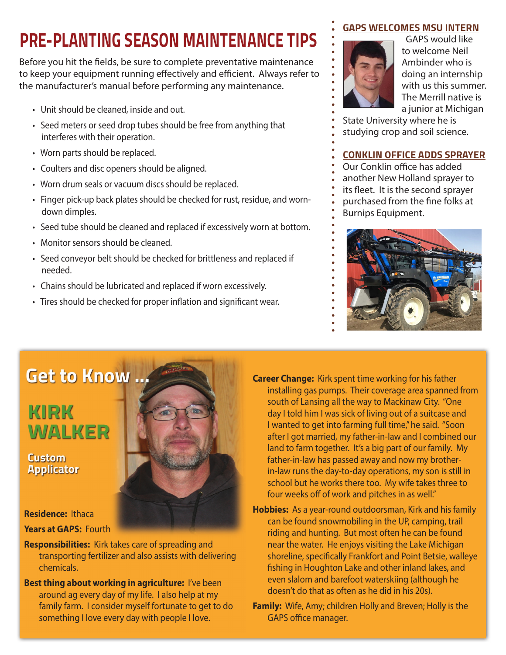## **PRE-PLANTING SEASON MAINTENANCE TIPS**

Before you hit the fields, be sure to complete preventative maintenance to keep your equipment running effectively and efficient. Always refer to the manufacturer's manual before performing any maintenance.

- Unit should be cleaned, inside and out.
- Seed meters or seed drop tubes should be free from anything that interferes with their operation.
- Worn parts should be replaced.
- Coulters and disc openers should be aligned.
- Worn drum seals or vacuum discs should be replaced.
- Finger pick-up back plates should be checked for rust, residue, and worndown dimples.
- Seed tube should be cleaned and replaced if excessively worn at bottom.
- Monitor sensors should be cleaned.
- Seed conveyor belt should be checked for brittleness and replaced if needed.
- Chains should be lubricated and replaced if worn excessively.
- Tires should be checked for proper inflation and significant wear.

#### **GAPS WELCOMES MSU INTERN**



 GAPS would like to welcome Neil Ambinder who is doing an internship with us this summer. The Merrill native is a junior at Michigan

State University where he is

studying crop and soil science.

#### **CONKLIN OFFICE ADDS SPRAYER**

Our Conklin office has added another New Holland sprayer to its fleet. It is the second sprayer purchased from the fine folks at Burnips Equipment.



## **Get to Know ...**

### KIRK WALKER

**Custom Applicator** 

#### **Residence:** Ithaca **Years at GAPS:** Fourth

- **Responsibilities:** Kirk takes care of spreading and transporting fertilizer and also assists with delivering chemicals.
- **Best thing about working in agriculture:** I've been around ag every day of my life. I also help at my family farm. I consider myself fortunate to get to do something I love every day with people I love.
- **Career Change:** Kirk spent time working for his father installing gas pumps. Their coverage area spanned from south of Lansing all the way to Mackinaw City. "One day I told him I was sick of living out of a suitcase and I wanted to get into farming full time," he said. "Soon after I got married, my father-in-law and I combined our land to farm together. It's a big part of our family. My father-in-law has passed away and now my brotherin-law runs the day-to-day operations, my son is still in school but he works there too. My wife takes three to four weeks off of work and pitches in as well."
- **Hobbies:** As a year-round outdoorsman, Kirk and his family can be found snowmobiling in the UP, camping, trail riding and hunting. But most often he can be found near the water. He enjoys visiting the Lake Michigan shoreline, specifically Frankfort and Point Betsie, walleye fishing in Houghton Lake and other inland lakes, and even slalom and barefoot waterskiing (although he doesn't do that as often as he did in his 20s).
- **Family:** Wife, Amy; children Holly and Breven; Holly is the GAPS office manager.